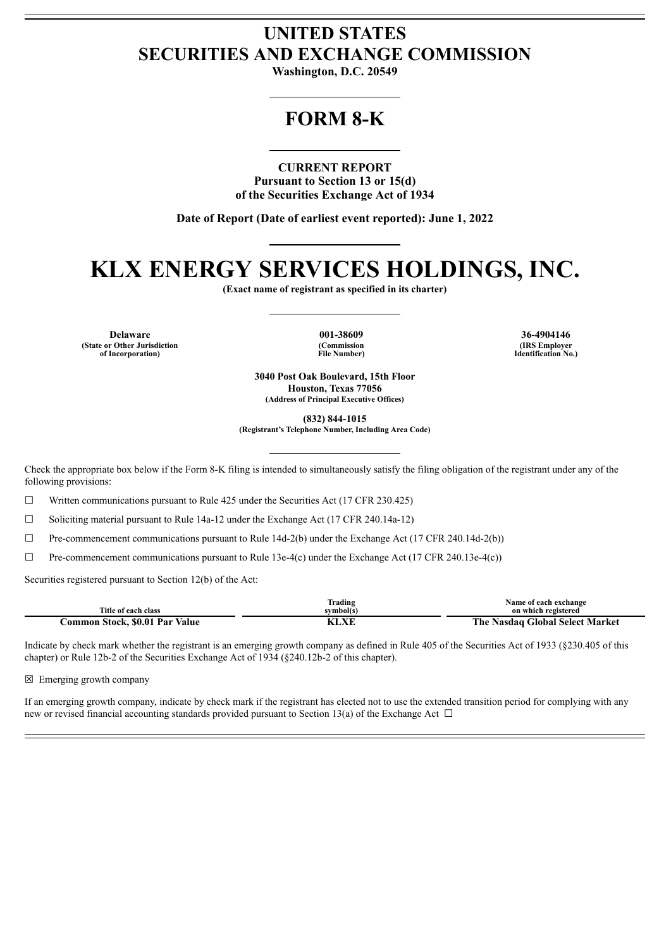### **UNITED STATES SECURITIES AND EXCHANGE COMMISSION**

**Washington, D.C. 20549**

## **FORM 8-K**

**CURRENT REPORT Pursuant to Section 13 or 15(d) of the Securities Exchange Act of 1934**

**Date of Report (Date of earliest event reported): June 1, 2022**

# **KLX ENERGY SERVICES HOLDINGS, INC.**

**(Exact name of registrant as specified in its charter)**

**Delaware 001-38609 36-4904146 (State or Other Jurisdiction of Incorporation)**

**(Commission File Number)**

**(IRS Employer Identification No.)**

**3040 Post Oak Boulevard, 15th Floor Houston, Texas 77056 (Address of Principal Executive Offices)**

**(832) 844-1015**

**(Registrant's Telephone Number, Including Area Code)**

Check the appropriate box below if the Form 8-K filing is intended to simultaneously satisfy the filing obligation of the registrant under any of the following provisions:

 $\Box$  Written communications pursuant to Rule 425 under the Securities Act (17 CFR 230.425)

☐ Soliciting material pursuant to Rule 14a-12 under the Exchange Act (17 CFR 240.14a-12)

 $\Box$  Pre-commencement communications pursuant to Rule 14d-2(b) under the Exchange Act (17 CFR 240.14d-2(b))

 $\Box$  Pre-commencement communications pursuant to Rule 13e-4(c) under the Exchange Act (17 CFR 240.13e-4(c))

Securities registered pursuant to Section 12(b) of the Act:

|                                            | $\sim$<br>$\cdot$ .<br>Trading | Name of each exchange                                   |
|--------------------------------------------|--------------------------------|---------------------------------------------------------|
| Title of each class                        | svmbol(s`                      | registered<br>on which                                  |
| \$0.01<br>Par<br>Value<br>.ommon<br>Stock. | X/T                            | <b>Global Select Market</b><br>. ne<br>√asdaɑ<br>$\sim$ |

Indicate by check mark whether the registrant is an emerging growth company as defined in Rule 405 of the Securities Act of 1933 (§230.405 of this chapter) or Rule 12b-2 of the Securities Exchange Act of 1934 (§240.12b-2 of this chapter).

☒ Emerging growth company

If an emerging growth company, indicate by check mark if the registrant has elected not to use the extended transition period for complying with any new or revised financial accounting standards provided pursuant to Section 13(a) of the Exchange Act  $\Box$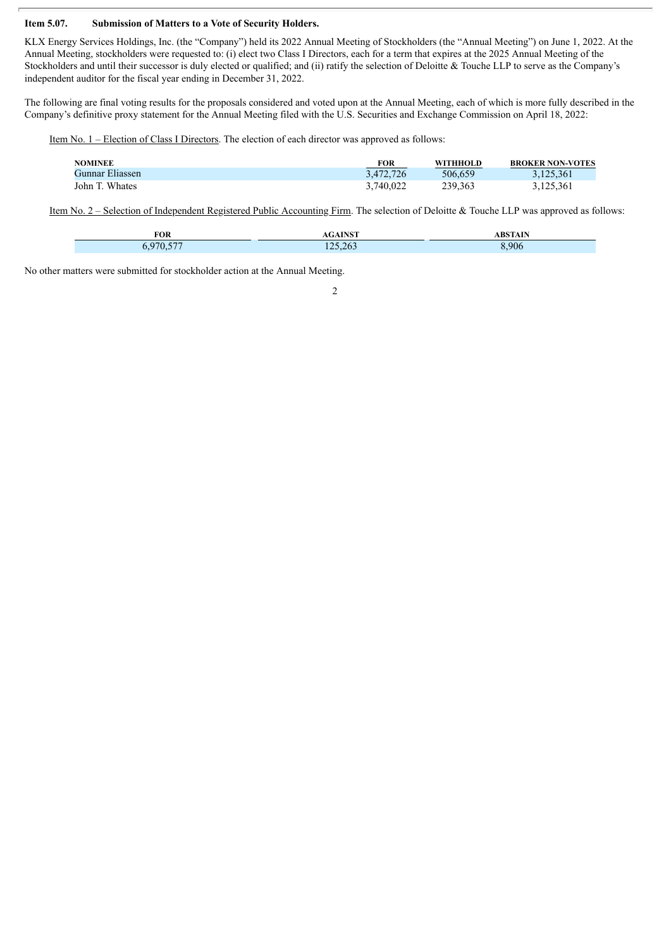#### **Item 5.07. Submission of Matters to a Vote of Security Holders.**

KLX Energy Services Holdings, Inc. (the "Company") held its 2022 Annual Meeting of Stockholders (the "Annual Meeting") on June 1, 2022. At the Annual Meeting, stockholders were requested to: (i) elect two Class I Directors, each for a term that expires at the 2025 Annual Meeting of the Stockholders and until their successor is duly elected or qualified; and (ii) ratify the selection of Deloitte  $\&$  Touche LLP to serve as the Company's independent auditor for the fiscal year ending in December 31, 2022.

The following are final voting results for the proposals considered and voted upon at the Annual Meeting, each of which is more fully described in the Company's definitive proxy statement for the Annual Meeting filed with the U.S. Securities and Exchange Commission on April 18, 2022:

Item No. 1 – Election of Class I Directors. The election of each director was approved as follows:

| <b>NOMINEE</b>  | <b>FOR</b> | WITHHOLD | <b>BROKER NON-VOTES</b> |
|-----------------|------------|----------|-------------------------|
| Gunnar Eliassen | 3,472,726  | 506.659  | 3,125,361               |
| John T. Whates  | 3.740.022  | 239.363  | 3,125,361               |

Item No. 2 – Selection of Independent Registered Public Accounting Firm. The selection of Deloitte & Touche LLP was approved as follows:

| FOR                               | <b>A INICT</b><br>AINƏ I | <b>ABSTAIN</b><br>. AIN |
|-----------------------------------|--------------------------|-------------------------|
| $-$<br>$\prime$<br>$\mathbf{v}$ . | 125,263                  | 8,906                   |

2

No other matters were submitted for stockholder action at the Annual Meeting.